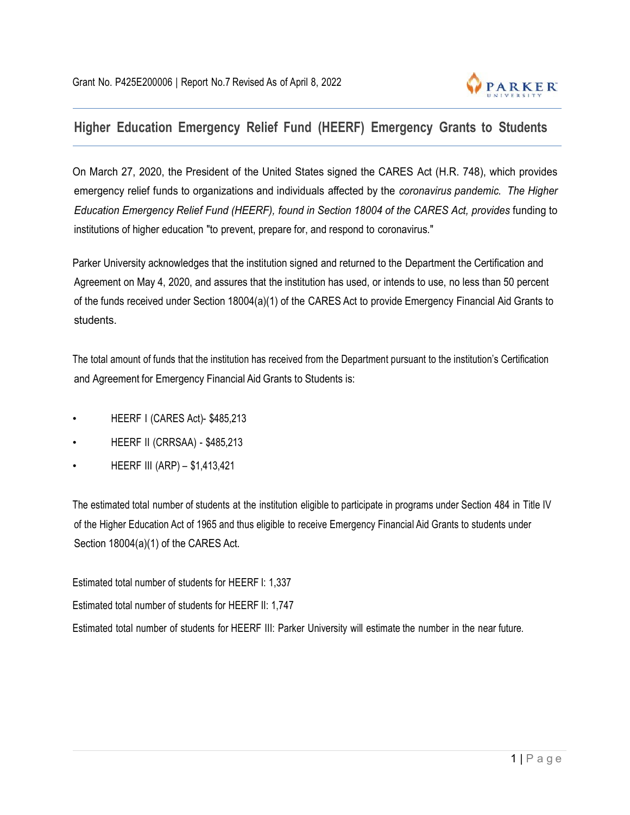

## **Higher Education Emergency Relief Fund (HEERF) Emergency Grants to Students**

On March 27, 2020, the President of the United States signed the CARES Act (H.R. 748), which provides emergency relief funds to organizations and individuals affected by the *coronavirus pandemic. The Higher Education Emergency Relief Fund (HEERF), found in Section 18004 of the CARES Act, provides* funding to institutions of higher education "to prevent, prepare for, and respond to coronavirus."

Parker University acknowledges that the institution signed and returned to the Department the Certification and Agreement on May 4, 2020, and assures that the institution has used, or intends to use, no less than 50 percent of the funds received under Section 18004(a)(1) of the CARES Act to provide Emergency Financial Aid Grants to students.

The total amount of funds that the institution has received from the Department pursuant to the institution's Certification and Agreement for Emergency Financial Aid Grants to Students is:

- HEERF I (CARES Act)- \$485,213
- HEERF II (CRRSAA) \$485,213
- HEERF III (ARP) \$1,413,421

The estimated total number of students at the institution eligible to participate in programs under Section 484 in Title IV of the Higher Education Act of 1965 and thus eligible to receive Emergency Financial Aid Grants to students under Section 18004(a)(1) of the CARES Act.

Estimated total number of students for HEERF I: 1,337 Estimated total number of students for HEERF II: 1,747 Estimated total number of students for HEERF III: Parker University will estimate the number in the near future.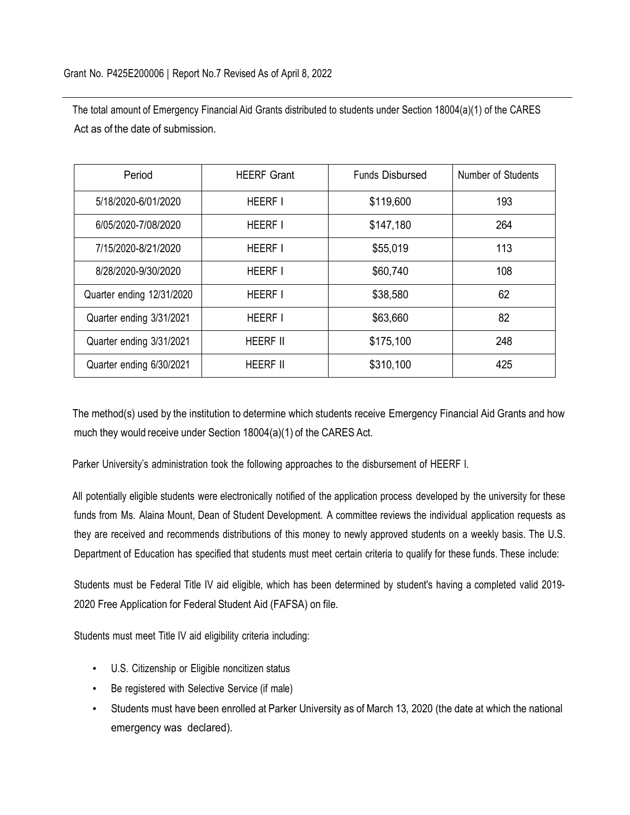The total amount of Emergency Financial Aid Grants distributed to students under Section 18004(a)(1) of the CARES Act as of the date of submission.

| Period                    | <b>HEERF Grant</b> | <b>Funds Disbursed</b> | Number of Students |
|---------------------------|--------------------|------------------------|--------------------|
| 5/18/2020-6/01/2020       | <b>HEERF I</b>     | \$119,600              | 193                |
| 6/05/2020-7/08/2020       | <b>HEERF I</b>     | \$147,180              | 264                |
| 7/15/2020-8/21/2020       | <b>HEERF I</b>     | \$55,019               | 113                |
| 8/28/2020-9/30/2020       | <b>HEERF I</b>     | \$60,740               | 108                |
| Quarter ending 12/31/2020 | <b>HEERF I</b>     | \$38,580               | 62                 |
| Quarter ending 3/31/2021  | <b>HEERF I</b>     | \$63,660               | 82                 |
| Quarter ending 3/31/2021  | <b>HEERF II</b>    | \$175,100              | 248                |
| Quarter ending 6/30/2021  | <b>HEERF II</b>    | \$310,100              | 425                |

The method(s) used by the institution to determine which students receive Emergency Financial Aid Grants and how much they would receive under Section 18004(a)(1) of the CARES Act.

Parker University's administration took the following approaches to the disbursement of HEERF I.

All potentially eligible students were electronically notified of the application process developed by the university for these funds from Ms. Alaina Mount, Dean of Student Development. A committee reviews the individual application requests as they are received and recommends distributions of this money to newly approved students on a weekly basis. The U.S. Department of Education has specified that students must meet certain criteria to qualify for these funds. These include:

Students must be Federal Title IV aid eligible, which has been determined by student's having a completed valid 2019- 2020 Free Application for Federal Student Aid (FAFSA) on file.

Students must meet Title IV aid eligibility criteria including:

- U.S. Citizenship or Eligible noncitizen status
- Be registered with Selective Service (if male)
- Students must have been enrolled at Parker University as of March 13, 2020 (the date at which the national emergency was declared).